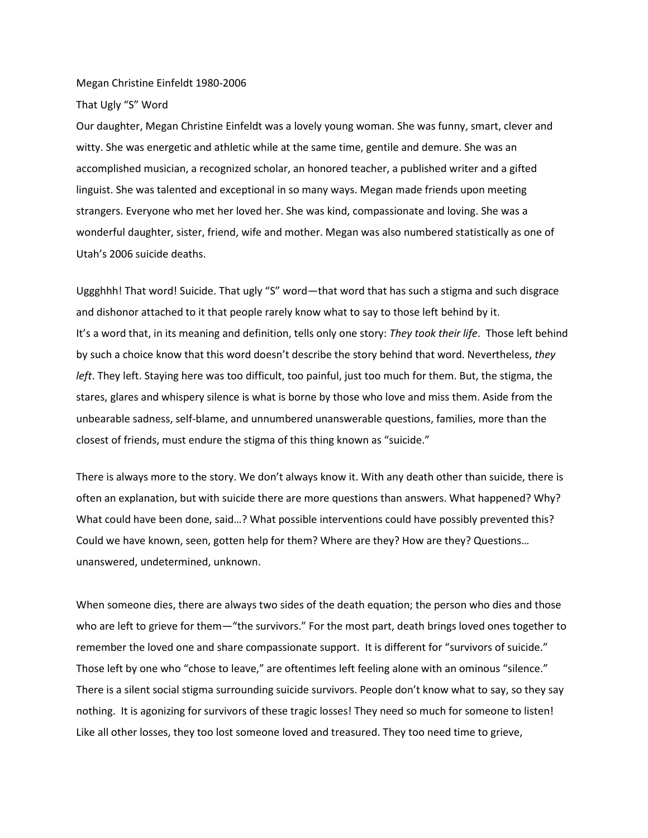Megan Christine Einfeldt 1980-2006

That Ugly "S" Word

Our daughter, Megan Christine Einfeldt was a lovely young woman. She was funny, smart, clever and witty. She was energetic and athletic while at the same time, gentile and demure. She was an accomplished musician, a recognized scholar, an honored teacher, a published writer and a gifted linguist. She was talented and exceptional in so many ways. Megan made friends upon meeting strangers. Everyone who met her loved her. She was kind, compassionate and loving. She was a wonderful daughter, sister, friend, wife and mother. Megan was also numbered statistically as one of Utah's 2006 suicide deaths.

Uggghhh! That word! Suicide. That ugly "S" word—that word that has such a stigma and such disgrace and dishonor attached to it that people rarely know what to say to those left behind by it. It's a word that, in its meaning and definition, tells only one story: *They took their life*. Those left behind by such a choice know that this word doesn't describe the story behind that word. Nevertheless, *they left*. They left. Staying here was too difficult, too painful, just too much for them. But, the stigma, the stares, glares and whispery silence is what is borne by those who love and miss them. Aside from the unbearable sadness, self-blame, and unnumbered unanswerable questions, families, more than the closest of friends, must endure the stigma of this thing known as "suicide."

There is always more to the story. We don't always know it. With any death other than suicide, there is often an explanation, but with suicide there are more questions than answers. What happened? Why? What could have been done, said…? What possible interventions could have possibly prevented this? Could we have known, seen, gotten help for them? Where are they? How are they? Questions… unanswered, undetermined, unknown.

When someone dies, there are always two sides of the death equation; the person who dies and those who are left to grieve for them—"the survivors." For the most part, death brings loved ones together to remember the loved one and share compassionate support. It is different for "survivors of suicide." Those left by one who "chose to leave," are oftentimes left feeling alone with an ominous "silence." There is a silent social stigma surrounding suicide survivors. People don't know what to say, so they say nothing. It is agonizing for survivors of these tragic losses! They need so much for someone to listen! Like all other losses, they too lost someone loved and treasured. They too need time to grieve,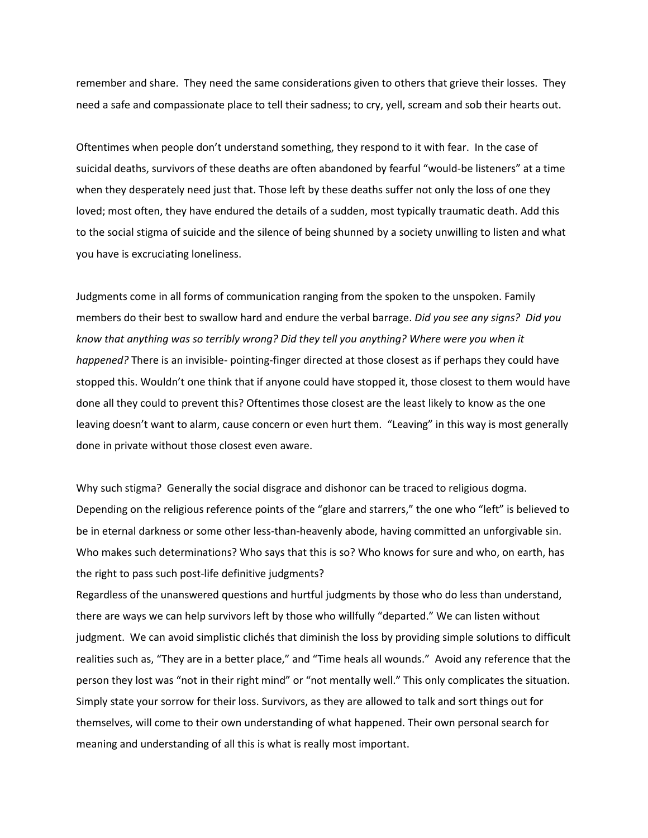remember and share. They need the same considerations given to others that grieve their losses. They need a safe and compassionate place to tell their sadness; to cry, yell, scream and sob their hearts out.

Oftentimes when people don't understand something, they respond to it with fear. In the case of suicidal deaths, survivors of these deaths are often abandoned by fearful "would-be listeners" at a time when they desperately need just that. Those left by these deaths suffer not only the loss of one they loved; most often, they have endured the details of a sudden, most typically traumatic death. Add this to the social stigma of suicide and the silence of being shunned by a society unwilling to listen and what you have is excruciating loneliness.

Judgments come in all forms of communication ranging from the spoken to the unspoken. Family members do their best to swallow hard and endure the verbal barrage. *Did you see any signs? Did you know that anything was so terribly wrong? Did they tell you anything? Where were you when it happened?* There is an invisible- pointing-finger directed at those closest as if perhaps they could have stopped this. Wouldn't one think that if anyone could have stopped it, those closest to them would have done all they could to prevent this? Oftentimes those closest are the least likely to know as the one leaving doesn't want to alarm, cause concern or even hurt them. "Leaving" in this way is most generally done in private without those closest even aware.

Why such stigma? Generally the social disgrace and dishonor can be traced to religious dogma. Depending on the religious reference points of the "glare and starrers," the one who "left" is believed to be in eternal darkness or some other less-than-heavenly abode, having committed an unforgivable sin. Who makes such determinations? Who says that this is so? Who knows for sure and who, on earth, has the right to pass such post-life definitive judgments?

Regardless of the unanswered questions and hurtful judgments by those who do less than understand, there are ways we can help survivors left by those who willfully "departed." We can listen without judgment. We can avoid simplistic clichés that diminish the loss by providing simple solutions to difficult realities such as, "They are in a better place," and "Time heals all wounds." Avoid any reference that the person they lost was "not in their right mind" or "not mentally well." This only complicates the situation. Simply state your sorrow for their loss. Survivors, as they are allowed to talk and sort things out for themselves, will come to their own understanding of what happened. Their own personal search for meaning and understanding of all this is what is really most important.